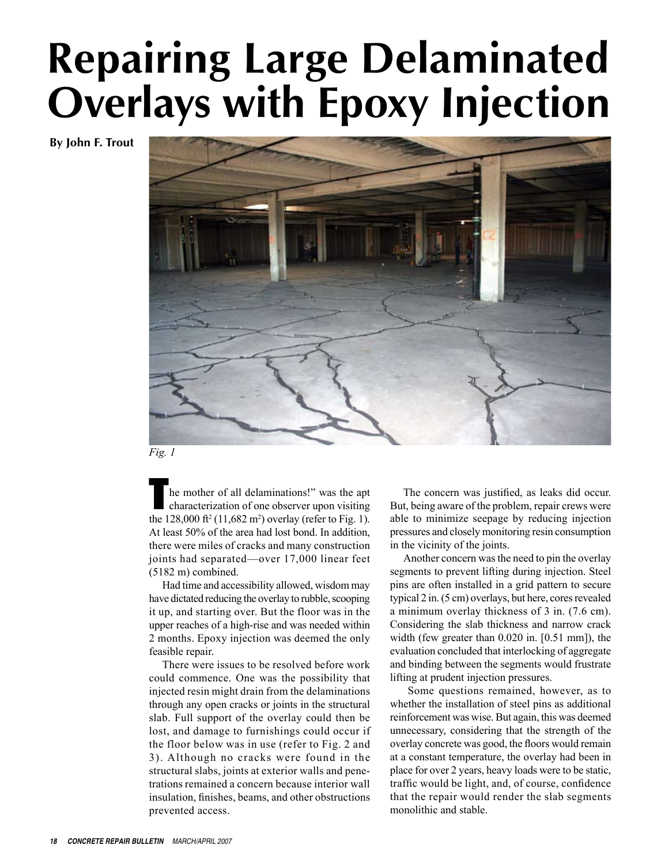## **Repairing Large Delaminated Overlays with Epoxy Injection**

**By John F. Trout**



*Fig. 1*

he mother of all delaminations!" was the apt characterization of one observer upon visiting the  $128,000$  ft<sup>2</sup> (11,682 m<sup>2</sup>) overlay (refer to Fig. 1). At least 50% of the area had lost bond. In addition, there were miles of cracks and many construction joints had separated—over 17,000 linear feet (5182 m) combined.

Had time and accessibility allowed, wisdom may have dictated reducing the overlay to rubble, scooping it up, and starting over. But the floor was in the upper reaches of a high-rise and was needed within 2 months. Epoxy injection was deemed the only feasible repair.

There were issues to be resolved before work could commence. One was the possibility that injected resin might drain from the delaminations through any open cracks or joints in the structural slab. Full support of the overlay could then be lost, and damage to furnishings could occur if the floor below was in use (refer to Fig. 2 and 3). Although no cracks were found in the structural slabs, joints at exterior walls and penetrations remained a concern because interior wall insulation, finishes, beams, and other obstructions prevented access.

The concern was justified, as leaks did occur. But, being aware of the problem, repair crews were able to minimize seepage by reducing injection pressures and closely monitoring resin consumption in the vicinity of the joints.

Another concern was the need to pin the overlay segments to prevent lifting during injection. Steel pins are often installed in a grid pattern to secure typical 2 in. (5 cm) overlays, but here, cores revealed a minimum overlay thickness of 3 in. (7.6 cm). Considering the slab thickness and narrow crack width (few greater than 0.020 in. [0.51 mm]), the evaluation concluded that interlocking of aggregate and binding between the segments would frustrate lifting at prudent injection pressures.

 Some questions remained, however, as to whether the installation of steel pins as additional reinforcement was wise. But again, this was deemed unnecessary, considering that the strength of the overlay concrete was good, the floors would remain at a constant temperature, the overlay had been in place for over 2 years, heavy loads were to be static, traffic would be light, and, of course, confidence that the repair would render the slab segments monolithic and stable.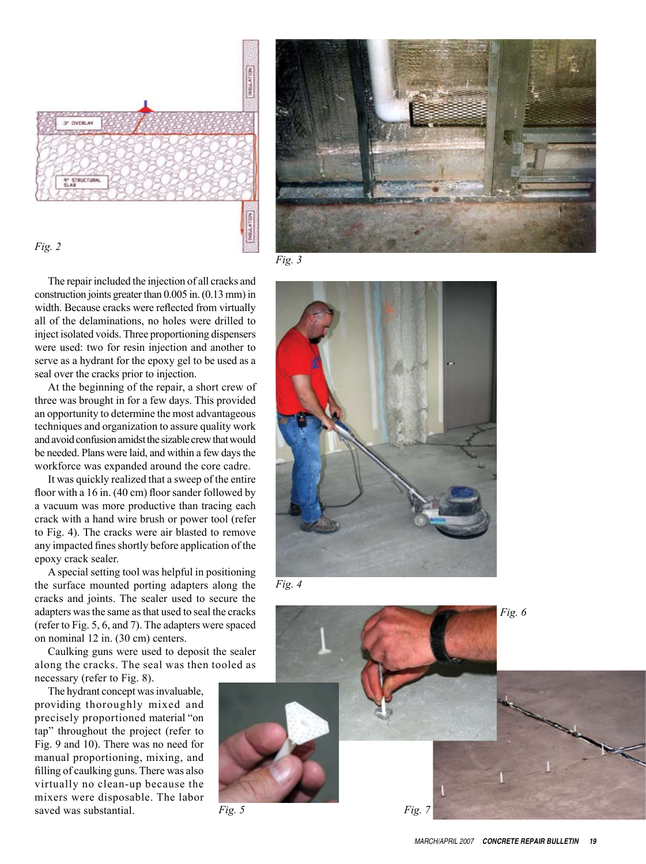



*Fig. 2*

*Fig. 3*

The repair included the injection of all cracks and construction joints greater than 0.005 in. (0.13 mm) in width. Because cracks were reflected from virtually all of the delaminations, no holes were drilled to inject isolated voids. Three proportioning dispensers were used: two for resin injection and another to serve as a hydrant for the epoxy gel to be used as a seal over the cracks prior to injection.

At the beginning of the repair, a short crew of three was brought in for a few days. This provided an opportunity to determine the most advantageous techniques and organization to assure quality work and avoid confusion amidst the sizable crew that would be needed. Plans were laid, and within a few days the workforce was expanded around the core cadre.

It was quickly realized that a sweep of the entire floor with a 16 in. (40 cm) floor sander followed by a vacuum was more productive than tracing each crack with a hand wire brush or power tool (refer to Fig. 4). The cracks were air blasted to remove any impacted fines shortly before application of the epoxy crack sealer.

A special setting tool was helpful in positioning the surface mounted porting adapters along the cracks and joints. The sealer used to secure the adapters was the same as that used to seal the cracks (refer to Fig. 5, 6, and 7). The adapters were spaced on nominal 12 in. (30 cm) centers.

Caulking guns were used to deposit the sealer along the cracks. The seal was then tooled as necessary (refer to Fig. 8).

The hydrant concept was invaluable, providing thoroughly mixed and precisely proportioned material "on tap" throughout the project (refer to Fig. 9 and 10). There was no need for manual propo rtioning, mixing, and filling of caulking guns. There was also virtually no clean-up because the mixers were disposable. The labor saved was substantial.



*Fig. 4*

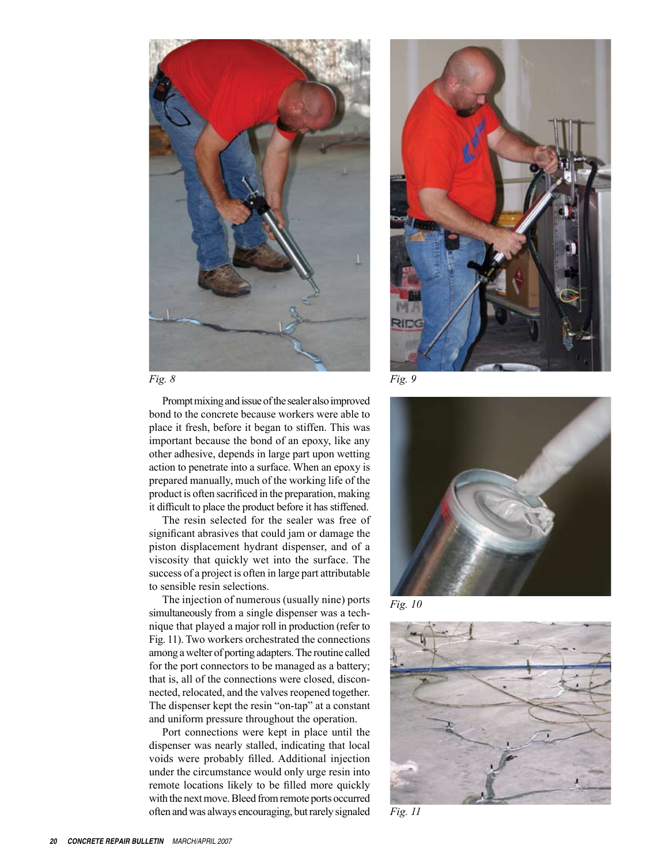



Prompt mixing and issue of the sealer also improved bond to the concrete because workers were able to place it fresh, before it began to stiffen. This was important because the bond of an epoxy, like any other adhesive, depends in large part upon wetting action to penetrate into a surface. When an epoxy is prepared manually, much of the working life of the product is often sacrificed in the preparation, making it difficult to place the product before it has stiffened.

The resin selected for the sealer was free of significant abrasives that could jam or damage the piston displacement hydrant dispenser, and of a viscosity that quickly wet into the surface. The success of a project is often in large part attributable to sensible resin selections.

The injection of numerous (usually nine) ports simultaneously from a single dispenser was a technique that played a major roll in production (refer to Fig. 11). Two workers orchestrated the connections among a welter of porting adapters. The routine called for the port connectors to be managed as a battery; that is, all of the connections were closed, disconnected, relocated, and the valves reopened together. The dispenser kept the resin "on-tap" at a constant and uniform pressure throughout the operation.

Port connections were kept in place until the dispenser was nearly stalled, indicating that local voids were probably filled. Additional injection under the circumstance would only urge resin into remote locations likely to be filled more quickly with the next move. Bleed from remote ports occurred often and was always encouraging, but rarely signaled



*Fig. 10*



*Fig. 11*